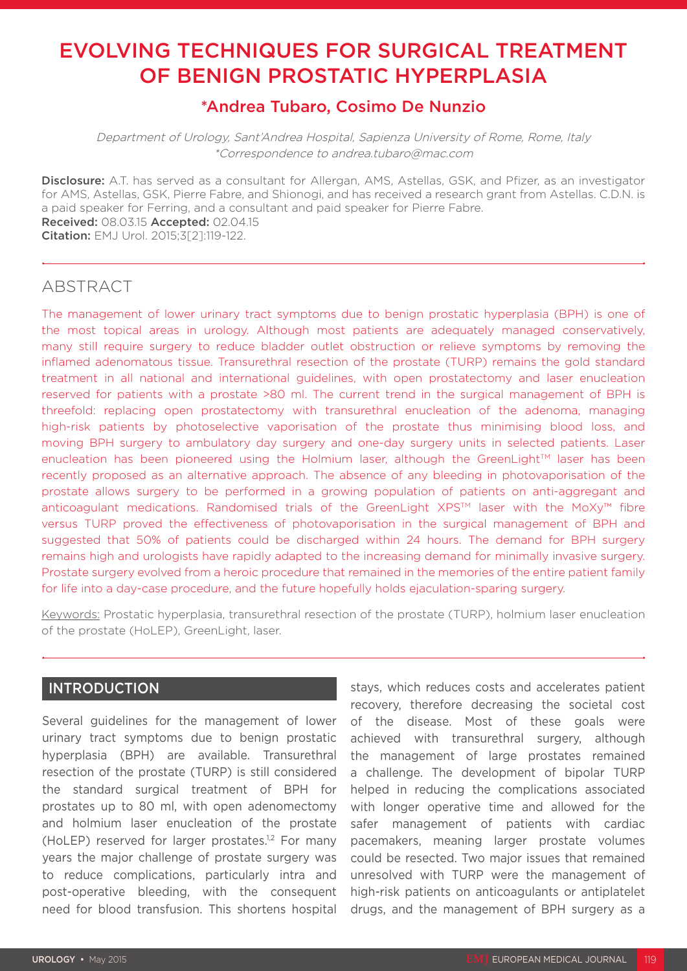# EVOLVING TECHNIQUES FOR SURGICAL TREATMENT OF BENIGN PROSTATIC HYPERPLASIA

## \*Andrea Tubaro, Cosimo De Nunzio

Department of Urology, Sant'Andrea Hospital, Sapienza University of Rome, Rome, Italy \*Correspondence to andrea.tubaro@mac.com

Disclosure: A.T. has served as a consultant for Allergan, AMS, Astellas, GSK, and Pfizer, as an investigator for AMS, Astellas, GSK, Pierre Fabre, and Shionogi, and has received a research grant from Astellas. C.D.N. is a paid speaker for Ferring, and a consultant and paid speaker for Pierre Fabre. Received: 08.03.15 Accepted: 02.04.15 Citation: EMJ Urol. 2015;3[2]:119-122.

#### ABSTRACT

The management of lower urinary tract symptoms due to benign prostatic hyperplasia (BPH) is one of the most topical areas in urology. Although most patients are adequately managed conservatively, many still require surgery to reduce bladder outlet obstruction or relieve symptoms by removing the inflamed adenomatous tissue. Transurethral resection of the prostate (TURP) remains the gold standard treatment in all national and international guidelines, with open prostatectomy and laser enucleation reserved for patients with a prostate >80 ml. The current trend in the surgical management of BPH is threefold: replacing open prostatectomy with transurethral enucleation of the adenoma, managing high-risk patients by photoselective vaporisation of the prostate thus minimising blood loss, and moving BPH surgery to ambulatory day surgery and one-day surgery units in selected patients. Laser enucleation has been pioneered using the Holmium laser, although the GreenLight™ laser has been recently proposed as an alternative approach. The absence of any bleeding in photovaporisation of the prostate allows surgery to be performed in a growing population of patients on anti-aggregant and anticoagulant medications. Randomised trials of the GreenLight XPS™ laser with the MoXy™ fibre versus TURP proved the effectiveness of photovaporisation in the surgical management of BPH and suggested that 50% of patients could be discharged within 24 hours. The demand for BPH surgery remains high and urologists have rapidly adapted to the increasing demand for minimally invasive surgery. Prostate surgery evolved from a heroic procedure that remained in the memories of the entire patient family for life into a day-case procedure, and the future hopefully holds ejaculation-sparing surgery.

Keywords: Prostatic hyperplasia, transurethral resection of the prostate (TURP), holmium laser enucleation of the prostate (HoLEP), GreenLight, laser.

### INTRODUCTION

Several guidelines for the management of lower urinary tract symptoms due to benign prostatic hyperplasia (BPH) are available. Transurethral resection of the prostate (TURP) is still considered the standard surgical treatment of BPH for prostates up to 80 ml, with open adenomectomy and holmium laser enucleation of the prostate (HoLEP) reserved for larger prostates.<sup>1,2</sup> For many years the major challenge of prostate surgery was to reduce complications, particularly intra and post-operative bleeding, with the consequent need for blood transfusion. This shortens hospital

stays, which reduces costs and accelerates patient recovery, therefore decreasing the societal cost of the disease. Most of these goals were achieved with transurethral surgery, although the management of large prostates remained a challenge. The development of bipolar TURP helped in reducing the complications associated with longer operative time and allowed for the safer management of patients with cardiac pacemakers, meaning larger prostate volumes could be resected. Two major issues that remained unresolved with TURP were the management of high-risk patients on anticoagulants or antiplatelet drugs, and the management of BPH surgery as a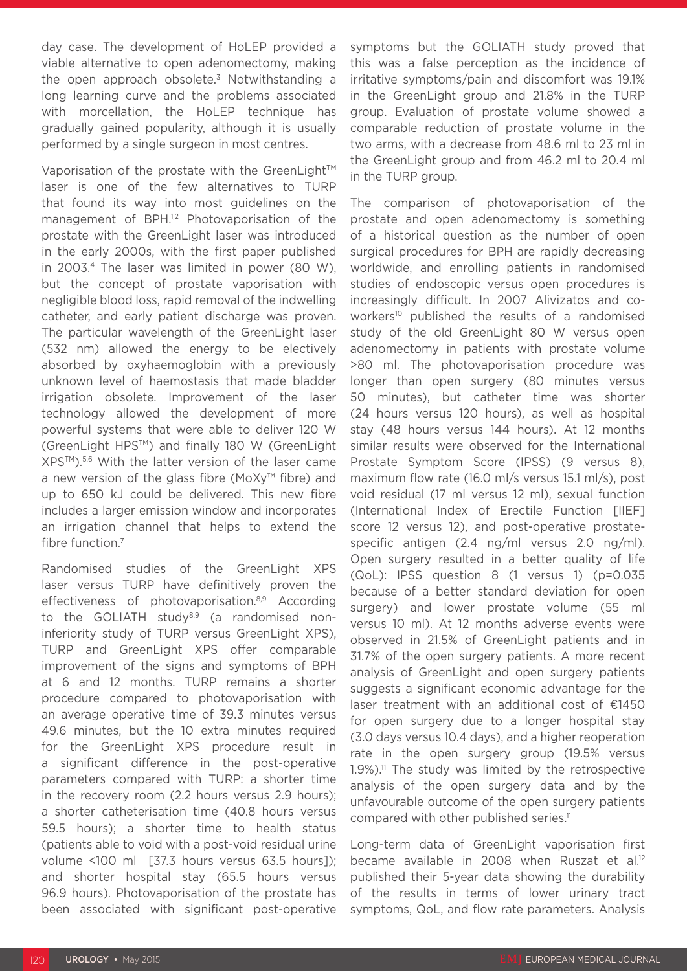day case. The development of HoLEP provided a viable alternative to open adenomectomy, making the open approach obsolete.<sup>3</sup> Notwithstanding a long learning curve and the problems associated with morcellation, the HoLEP technique has gradually gained popularity, although it is usually performed by a single surgeon in most centres.

Vaporisation of the prostate with the GreenLight™ laser is one of the few alternatives to TURP that found its way into most guidelines on the management of BPH.<sup>1,2</sup> Photovaporisation of the prostate with the GreenLight laser was introduced in the early 2000s, with the first paper published in 2003.4 The laser was limited in power (80 W), but the concept of prostate vaporisation with negligible blood loss, rapid removal of the indwelling catheter, and early patient discharge was proven. The particular wavelength of the GreenLight laser (532 nm) allowed the energy to be electively absorbed by oxyhaemoglobin with a previously unknown level of haemostasis that made bladder irrigation obsolete. Improvement of the laser technology allowed the development of more powerful systems that were able to deliver 120 W (GreenLight HPSTM) and finally 180 W (GreenLight XPSTM).5,6 With the latter version of the laser came a new version of the glass fibre (MoXy™ fibre) and up to 650 kJ could be delivered. This new fibre includes a larger emission window and incorporates an irrigation channel that helps to extend the fibre function.7

Randomised studies of the GreenLight XPS laser versus TURP have definitively proven the effectiveness of photovaporisation.<sup>8,9</sup> According to the GOLIATH study $8.9$  (a randomised noninferiority study of TURP versus GreenLight XPS), TURP and GreenLight XPS offer comparable improvement of the signs and symptoms of BPH at 6 and 12 months. TURP remains a shorter procedure compared to photovaporisation with an average operative time of 39.3 minutes versus 49.6 minutes, but the 10 extra minutes required for the GreenLight XPS procedure result in a significant difference in the post-operative parameters compared with TURP: a shorter time in the recovery room (2.2 hours versus 2.9 hours); a shorter catheterisation time (40.8 hours versus 59.5 hours); a shorter time to health status (patients able to void with a post-void residual urine volume <100 ml [37.3 hours versus 63.5 hours]); and shorter hospital stay (65.5 hours versus 96.9 hours). Photovaporisation of the prostate has been associated with significant post-operative

symptoms but the GOLIATH study proved that this was a false perception as the incidence of irritative symptoms/pain and discomfort was 19.1% in the GreenLight group and 21.8% in the TURP group. Evaluation of prostate volume showed a comparable reduction of prostate volume in the two arms, with a decrease from 48.6 ml to 23 ml in the GreenLight group and from 46.2 ml to 20.4 ml in the TURP group.

The comparison of photovaporisation of the prostate and open adenomectomy is something of a historical question as the number of open surgical procedures for BPH are rapidly decreasing worldwide, and enrolling patients in randomised studies of endoscopic versus open procedures is increasingly difficult. In 2007 Alivizatos and coworkers<sup>10</sup> published the results of a randomised study of the old GreenLight 80 W versus open adenomectomy in patients with prostate volume >80 ml. The photovaporisation procedure was longer than open surgery (80 minutes versus 50 minutes), but catheter time was shorter (24 hours versus 120 hours), as well as hospital stay (48 hours versus 144 hours). At 12 months similar results were observed for the International Prostate Symptom Score (IPSS) (9 versus 8), maximum flow rate (16.0 ml/s versus 15.1 ml/s), post void residual (17 ml versus 12 ml), sexual function (International Index of Erectile Function [IIEF] score 12 versus 12), and post-operative prostatespecific antigen (2.4 ng/ml versus 2.0 ng/ml). Open surgery resulted in a better quality of life (QoL): IPSS question 8 (1 versus 1) (p=0.035 because of a better standard deviation for open surgery) and lower prostate volume (55 ml versus 10 ml). At 12 months adverse events were observed in 21.5% of GreenLight patients and in 31.7% of the open surgery patients. A more recent analysis of GreenLight and open surgery patients suggests a significant economic advantage for the laser treatment with an additional cost of €1450 for open surgery due to a longer hospital stay (3.0 days versus 10.4 days), and a higher reoperation rate in the open surgery group (19.5% versus  $1.9\%$ ).<sup>11</sup> The study was limited by the retrospective analysis of the open surgery data and by the unfavourable outcome of the open surgery patients compared with other published series.<sup>11</sup>

Long-term data of GreenLight vaporisation first became available in 2008 when Ruszat et al.<sup>12</sup> published their 5-year data showing the durability of the results in terms of lower urinary tract symptoms, QoL, and flow rate parameters. Analysis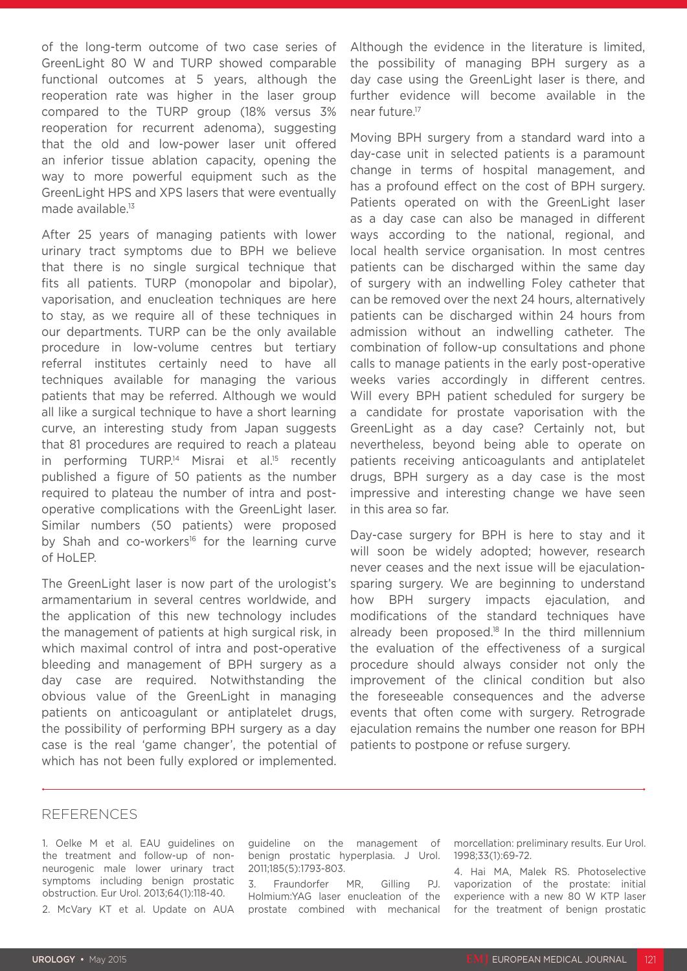of the long-term outcome of two case series of GreenLight 80 W and TURP showed comparable functional outcomes at 5 years, although the reoperation rate was higher in the laser group compared to the TURP group (18% versus 3% reoperation for recurrent adenoma), suggesting that the old and low-power laser unit offered an inferior tissue ablation capacity, opening the way to more powerful equipment such as the GreenLight HPS and XPS lasers that were eventually made available.<sup>13</sup>

After 25 years of managing patients with lower urinary tract symptoms due to BPH we believe that there is no single surgical technique that fits all patients. TURP (monopolar and bipolar), vaporisation, and enucleation techniques are here to stay, as we require all of these techniques in our departments. TURP can be the only available procedure in low-volume centres but tertiary referral institutes certainly need to have all techniques available for managing the various patients that may be referred. Although we would all like a surgical technique to have a short learning curve, an interesting study from Japan suggests that 81 procedures are required to reach a plateau in performing TURP.<sup>14</sup> Misrai et al.<sup>15</sup> recently published a figure of 50 patients as the number required to plateau the number of intra and postoperative complications with the GreenLight laser. Similar numbers (50 patients) were proposed by Shah and co-workers<sup>16</sup> for the learning curve of HoLEP.

The GreenLight laser is now part of the urologist's armamentarium in several centres worldwide, and the application of this new technology includes the management of patients at high surgical risk, in which maximal control of intra and post-operative bleeding and management of BPH surgery as a day case are required. Notwithstanding the obvious value of the GreenLight in managing patients on anticoagulant or antiplatelet drugs, the possibility of performing BPH surgery as a day case is the real 'game changer', the potential of which has not been fully explored or implemented.

Although the evidence in the literature is limited, the possibility of managing BPH surgery as a day case using the GreenLight laser is there, and further evidence will become available in the near future.17

Moving BPH surgery from a standard ward into a day-case unit in selected patients is a paramount change in terms of hospital management, and has a profound effect on the cost of BPH surgery. Patients operated on with the GreenLight laser as a day case can also be managed in different ways according to the national, regional, and local health service organisation. In most centres patients can be discharged within the same day of surgery with an indwelling Foley catheter that can be removed over the next 24 hours, alternatively patients can be discharged within 24 hours from admission without an indwelling catheter. The combination of follow-up consultations and phone calls to manage patients in the early post-operative weeks varies accordingly in different centres. Will every BPH patient scheduled for surgery be a candidate for prostate vaporisation with the GreenLight as a day case? Certainly not, but nevertheless, beyond being able to operate on patients receiving anticoagulants and antiplatelet drugs, BPH surgery as a day case is the most impressive and interesting change we have seen in this area so far.

Day-case surgery for BPH is here to stay and it will soon be widely adopted; however, research never ceases and the next issue will be ejaculationsparing surgery. We are beginning to understand how BPH surgery impacts ejaculation, and modifications of the standard techniques have already been proposed.<sup>18</sup> In the third millennium the evaluation of the effectiveness of a surgical procedure should always consider not only the improvement of the clinical condition but also the foreseeable consequences and the adverse events that often come with surgery. Retrograde ejaculation remains the number one reason for BPH patients to postpone or refuse surgery.

#### REFERENCES

1. Oelke M et al. EAU guidelines on the treatment and follow-up of nonneurogenic male lower urinary tract symptoms including benign prostatic obstruction. Eur Urol. 2013;64(1):118-40. 2. McVary KT et al. Update on AUA guideline on the management of benign prostatic hyperplasia. J Urol. 2011;185(5):1793-803.

3. Fraundorfer MR, Gilling PJ. Holmium:YAG laser enucleation of the prostate combined with mechanical morcellation: preliminary results. Eur Urol. 1998;33(1):69-72.

4. Hai MA, Malek RS. Photoselective vaporization of the prostate: initial experience with a new 80 W KTP laser for the treatment of benign prostatic